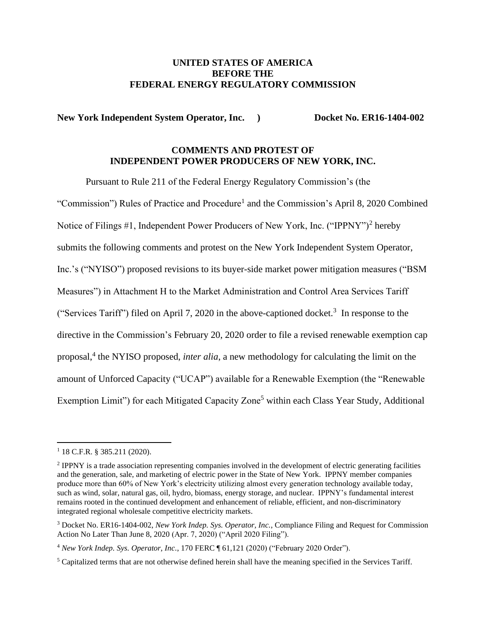#### **UNITED STATES OF AMERICA BEFORE THE FEDERAL ENERGY REGULATORY COMMISSION**

**New York Independent System Operator, Inc. <br><b>Docket No. ER16-1404-002** 

# **COMMENTS AND PROTEST OF INDEPENDENT POWER PRODUCERS OF NEW YORK, INC.**

Pursuant to Rule 211 of the Federal Energy Regulatory Commission's (the

"Commission") Rules of Practice and Procedure<sup>1</sup> and the Commission's April 8, 2020 Combined Notice of Filings #1, Independent Power Producers of New York, Inc. ("IPPNY")<sup>2</sup> hereby submits the following comments and protest on the New York Independent System Operator, Inc.'s ("NYISO") proposed revisions to its buyer-side market power mitigation measures ("BSM Measures") in Attachment H to the Market Administration and Control Area Services Tariff ("Services Tariff") filed on April 7, 2020 in the above-captioned docket.<sup>3</sup> In response to the directive in the Commission's February 20, 2020 order to file a revised renewable exemption cap proposal, 4 the NYISO proposed, *inter alia*, a new methodology for calculating the limit on the amount of Unforced Capacity ("UCAP") available for a Renewable Exemption (the "Renewable Exemption Limit") for each Mitigated Capacity Zone<sup>5</sup> within each Class Year Study, Additional

<sup>1</sup> 18 C.F.R. § 385.211 (2020).

<sup>&</sup>lt;sup>2</sup> IPPNY is a trade association representing companies involved in the development of electric generating facilities and the generation, sale, and marketing of electric power in the State of New York. IPPNY member companies produce more than 60% of New York's electricity utilizing almost every generation technology available today, such as wind, solar, natural gas, oil, hydro, biomass, energy storage, and nuclear. IPPNY's fundamental interest remains rooted in the continued development and enhancement of reliable, efficient, and non-discriminatory integrated regional wholesale competitive electricity markets.

<sup>3</sup> Docket No. ER16-1404-002, *New York Indep. Sys. Operator, Inc.*, Compliance Filing and Request for Commission Action No Later Than June 8, 2020 (Apr. 7, 2020) ("April 2020 Filing").

<sup>4</sup> *New York Indep. Sys. Operator, Inc.*, 170 FERC ¶ 61,121 (2020) ("February 2020 Order").

<sup>&</sup>lt;sup>5</sup> Capitalized terms that are not otherwise defined herein shall have the meaning specified in the Services Tariff.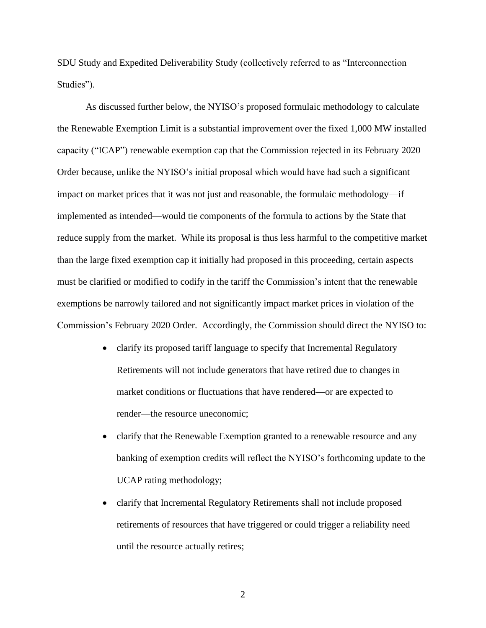SDU Study and Expedited Deliverability Study (collectively referred to as "Interconnection Studies").

As discussed further below, the NYISO's proposed formulaic methodology to calculate the Renewable Exemption Limit is a substantial improvement over the fixed 1,000 MW installed capacity ("ICAP") renewable exemption cap that the Commission rejected in its February 2020 Order because, unlike the NYISO's initial proposal which would have had such a significant impact on market prices that it was not just and reasonable, the formulaic methodology—if implemented as intended—would tie components of the formula to actions by the State that reduce supply from the market. While its proposal is thus less harmful to the competitive market than the large fixed exemption cap it initially had proposed in this proceeding, certain aspects must be clarified or modified to codify in the tariff the Commission's intent that the renewable exemptions be narrowly tailored and not significantly impact market prices in violation of the Commission's February 2020 Order. Accordingly, the Commission should direct the NYISO to:

- clarify its proposed tariff language to specify that Incremental Regulatory Retirements will not include generators that have retired due to changes in market conditions or fluctuations that have rendered—or are expected to render—the resource uneconomic;
- clarify that the Renewable Exemption granted to a renewable resource and any banking of exemption credits will reflect the NYISO's forthcoming update to the UCAP rating methodology;
- clarify that Incremental Regulatory Retirements shall not include proposed retirements of resources that have triggered or could trigger a reliability need until the resource actually retires;

2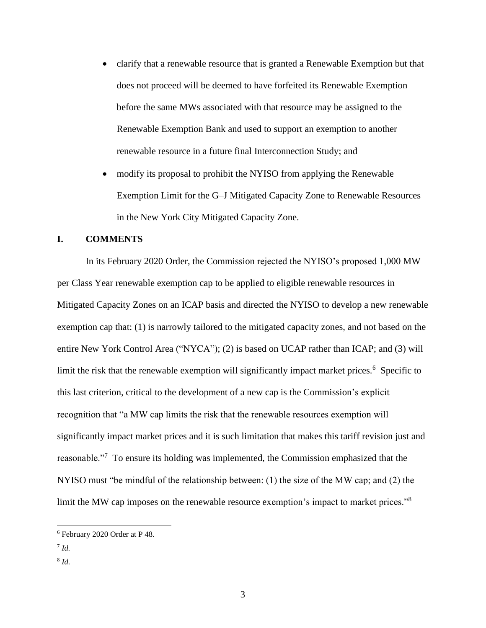- clarify that a renewable resource that is granted a Renewable Exemption but that does not proceed will be deemed to have forfeited its Renewable Exemption before the same MWs associated with that resource may be assigned to the Renewable Exemption Bank and used to support an exemption to another renewable resource in a future final Interconnection Study; and
- modify its proposal to prohibit the NYISO from applying the Renewable Exemption Limit for the G–J Mitigated Capacity Zone to Renewable Resources in the New York City Mitigated Capacity Zone.

#### **I. COMMENTS**

In its February 2020 Order, the Commission rejected the NYISO's proposed 1,000 MW per Class Year renewable exemption cap to be applied to eligible renewable resources in Mitigated Capacity Zones on an ICAP basis and directed the NYISO to develop a new renewable exemption cap that: (1) is narrowly tailored to the mitigated capacity zones, and not based on the entire New York Control Area ("NYCA"); (2) is based on UCAP rather than ICAP; and (3) will limit the risk that the renewable exemption will significantly impact market prices.<sup>6</sup> Specific to this last criterion, critical to the development of a new cap is the Commission's explicit recognition that "a MW cap limits the risk that the renewable resources exemption will significantly impact market prices and it is such limitation that makes this tariff revision just and reasonable."<sup>7</sup> To ensure its holding was implemented, the Commission emphasized that the NYISO must "be mindful of the relationship between: (1) the size of the MW cap; and (2) the limit the MW cap imposes on the renewable resource exemption's impact to market prices."<sup>8</sup>

7 *Id.*

<sup>6</sup> February 2020 Order at P 48.

<sup>8</sup> *Id.*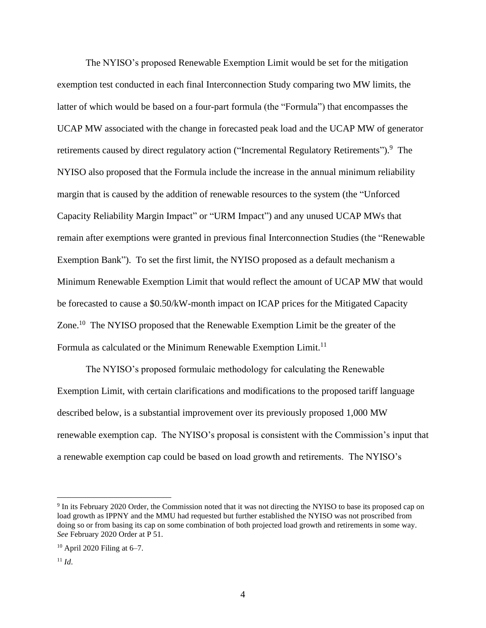The NYISO's proposed Renewable Exemption Limit would be set for the mitigation exemption test conducted in each final Interconnection Study comparing two MW limits, the latter of which would be based on a four-part formula (the "Formula") that encompasses the UCAP MW associated with the change in forecasted peak load and the UCAP MW of generator retirements caused by direct regulatory action ("Incremental Regulatory Retirements").<sup>9</sup> The NYISO also proposed that the Formula include the increase in the annual minimum reliability margin that is caused by the addition of renewable resources to the system (the "Unforced Capacity Reliability Margin Impact" or "URM Impact") and any unused UCAP MWs that remain after exemptions were granted in previous final Interconnection Studies (the "Renewable Exemption Bank"). To set the first limit, the NYISO proposed as a default mechanism a Minimum Renewable Exemption Limit that would reflect the amount of UCAP MW that would be forecasted to cause a \$0.50/kW-month impact on ICAP prices for the Mitigated Capacity Zone.<sup>10</sup> The NYISO proposed that the Renewable Exemption Limit be the greater of the Formula as calculated or the Minimum Renewable Exemption Limit.<sup>11</sup>

The NYISO's proposed formulaic methodology for calculating the Renewable Exemption Limit, with certain clarifications and modifications to the proposed tariff language described below, is a substantial improvement over its previously proposed 1,000 MW renewable exemption cap. The NYISO's proposal is consistent with the Commission's input that a renewable exemption cap could be based on load growth and retirements. The NYISO's

<sup>9</sup> In its February 2020 Order, the Commission noted that it was not directing the NYISO to base its proposed cap on load growth as IPPNY and the MMU had requested but further established the NYISO was not proscribed from doing so or from basing its cap on some combination of both projected load growth and retirements in some way. *See* February 2020 Order at P 51.

 $10$  April 2020 Filing at 6–7.

 $11$  *Id.*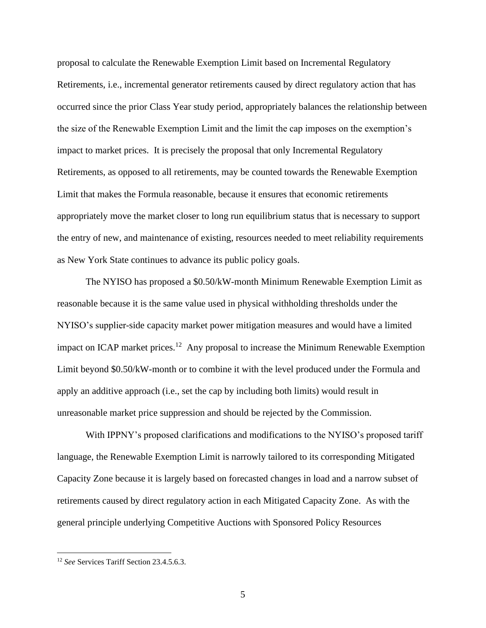proposal to calculate the Renewable Exemption Limit based on Incremental Regulatory Retirements, i.e., incremental generator retirements caused by direct regulatory action that has occurred since the prior Class Year study period, appropriately balances the relationship between the size of the Renewable Exemption Limit and the limit the cap imposes on the exemption's impact to market prices. It is precisely the proposal that only Incremental Regulatory Retirements, as opposed to all retirements, may be counted towards the Renewable Exemption Limit that makes the Formula reasonable, because it ensures that economic retirements appropriately move the market closer to long run equilibrium status that is necessary to support the entry of new, and maintenance of existing, resources needed to meet reliability requirements as New York State continues to advance its public policy goals.

The NYISO has proposed a \$0.50/kW-month Minimum Renewable Exemption Limit as reasonable because it is the same value used in physical withholding thresholds under the NYISO's supplier-side capacity market power mitigation measures and would have a limited impact on ICAP market prices.<sup>12</sup> Any proposal to increase the Minimum Renewable Exemption Limit beyond \$0.50/kW-month or to combine it with the level produced under the Formula and apply an additive approach (i.e., set the cap by including both limits) would result in unreasonable market price suppression and should be rejected by the Commission.

With IPPNY's proposed clarifications and modifications to the NYISO's proposed tariff language, the Renewable Exemption Limit is narrowly tailored to its corresponding Mitigated Capacity Zone because it is largely based on forecasted changes in load and a narrow subset of retirements caused by direct regulatory action in each Mitigated Capacity Zone. As with the general principle underlying Competitive Auctions with Sponsored Policy Resources

<sup>12</sup> *See* Services Tariff Section 23.4.5.6.3.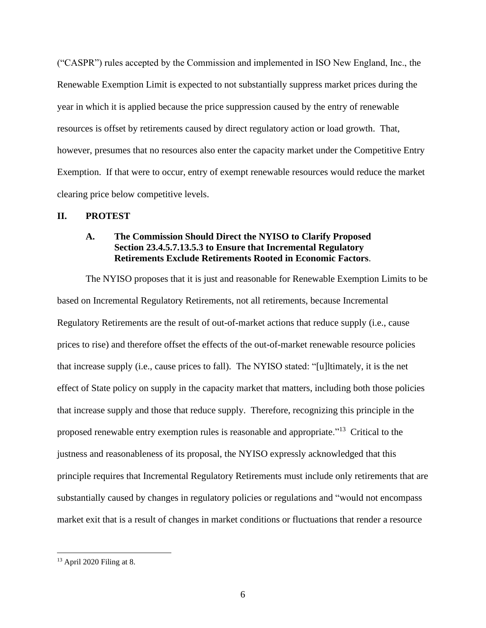("CASPR") rules accepted by the Commission and implemented in ISO New England, Inc., the Renewable Exemption Limit is expected to not substantially suppress market prices during the year in which it is applied because the price suppression caused by the entry of renewable resources is offset by retirements caused by direct regulatory action or load growth. That, however, presumes that no resources also enter the capacity market under the Competitive Entry Exemption. If that were to occur, entry of exempt renewable resources would reduce the market clearing price below competitive levels.

#### **II. PROTEST**

#### **A. The Commission Should Direct the NYISO to Clarify Proposed Section 23.4.5.7.13.5.3 to Ensure that Incremental Regulatory Retirements Exclude Retirements Rooted in Economic Factors**.

The NYISO proposes that it is just and reasonable for Renewable Exemption Limits to be based on Incremental Regulatory Retirements, not all retirements, because Incremental Regulatory Retirements are the result of out-of-market actions that reduce supply (i.e., cause prices to rise) and therefore offset the effects of the out-of-market renewable resource policies that increase supply (i.e., cause prices to fall). The NYISO stated: "[u]ltimately, it is the net effect of State policy on supply in the capacity market that matters, including both those policies that increase supply and those that reduce supply. Therefore, recognizing this principle in the proposed renewable entry exemption rules is reasonable and appropriate."<sup>13</sup> Critical to the justness and reasonableness of its proposal, the NYISO expressly acknowledged that this principle requires that Incremental Regulatory Retirements must include only retirements that are substantially caused by changes in regulatory policies or regulations and "would not encompass market exit that is a result of changes in market conditions or fluctuations that render a resource

<sup>13</sup> April 2020 Filing at 8.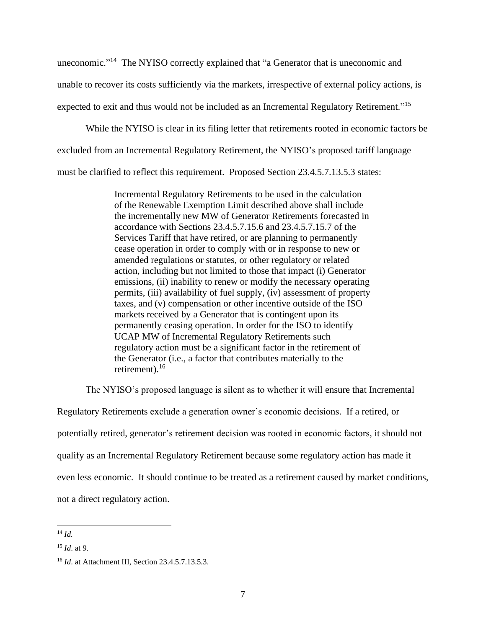uneconomic."<sup>14</sup> The NYISO correctly explained that "a Generator that is uneconomic and unable to recover its costs sufficiently via the markets, irrespective of external policy actions, is expected to exit and thus would not be included as an Incremental Regulatory Retirement."<sup>15</sup>

While the NYISO is clear in its filing letter that retirements rooted in economic factors be excluded from an Incremental Regulatory Retirement, the NYISO's proposed tariff language must be clarified to reflect this requirement. Proposed Section 23.4.5.7.13.5.3 states:

> Incremental Regulatory Retirements to be used in the calculation of the Renewable Exemption Limit described above shall include the incrementally new MW of Generator Retirements forecasted in accordance with Sections 23.4.5.7.15.6 and 23.4.5.7.15.7 of the Services Tariff that have retired, or are planning to permanently cease operation in order to comply with or in response to new or amended regulations or statutes, or other regulatory or related action, including but not limited to those that impact (i) Generator emissions, (ii) inability to renew or modify the necessary operating permits, (iii) availability of fuel supply, (iv) assessment of property taxes, and (v) compensation or other incentive outside of the ISO markets received by a Generator that is contingent upon its permanently ceasing operation. In order for the ISO to identify UCAP MW of Incremental Regulatory Retirements such regulatory action must be a significant factor in the retirement of the Generator (i.e., a factor that contributes materially to the retirement).<sup>16</sup>

The NYISO's proposed language is silent as to whether it will ensure that Incremental

Regulatory Retirements exclude a generation owner's economic decisions. If a retired, or potentially retired, generator's retirement decision was rooted in economic factors, it should not qualify as an Incremental Regulatory Retirement because some regulatory action has made it even less economic. It should continue to be treated as a retirement caused by market conditions, not a direct regulatory action.

<sup>14</sup> *Id.*

<sup>15</sup> *Id*. at 9.

<sup>16</sup> *Id*. at Attachment III, Section 23.4.5.7.13.5.3.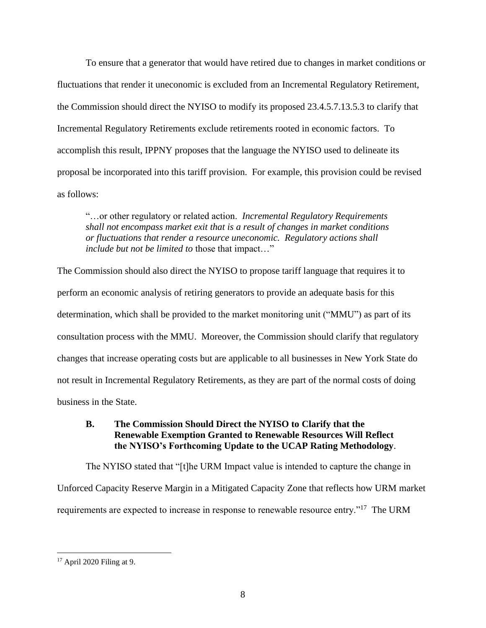To ensure that a generator that would have retired due to changes in market conditions or fluctuations that render it uneconomic is excluded from an Incremental Regulatory Retirement, the Commission should direct the NYISO to modify its proposed 23.4.5.7.13.5.3 to clarify that Incremental Regulatory Retirements exclude retirements rooted in economic factors. To accomplish this result, IPPNY proposes that the language the NYISO used to delineate its proposal be incorporated into this tariff provision. For example, this provision could be revised as follows:

"…or other regulatory or related action. *Incremental Regulatory Requirements shall not encompass market exit that is a result of changes in market conditions or fluctuations that render a resource uneconomic. Regulatory actions shall include but not be limited to* those that impact…"

The Commission should also direct the NYISO to propose tariff language that requires it to perform an economic analysis of retiring generators to provide an adequate basis for this determination, which shall be provided to the market monitoring unit ("MMU") as part of its consultation process with the MMU. Moreover, the Commission should clarify that regulatory changes that increase operating costs but are applicable to all businesses in New York State do not result in Incremental Regulatory Retirements, as they are part of the normal costs of doing business in the State.

# **B. The Commission Should Direct the NYISO to Clarify that the Renewable Exemption Granted to Renewable Resources Will Reflect the NYISO's Forthcoming Update to the UCAP Rating Methodology**.

The NYISO stated that "[t]he URM Impact value is intended to capture the change in Unforced Capacity Reserve Margin in a Mitigated Capacity Zone that reflects how URM market requirements are expected to increase in response to renewable resource entry."<sup>17</sup> The URM

<sup>17</sup> April 2020 Filing at 9.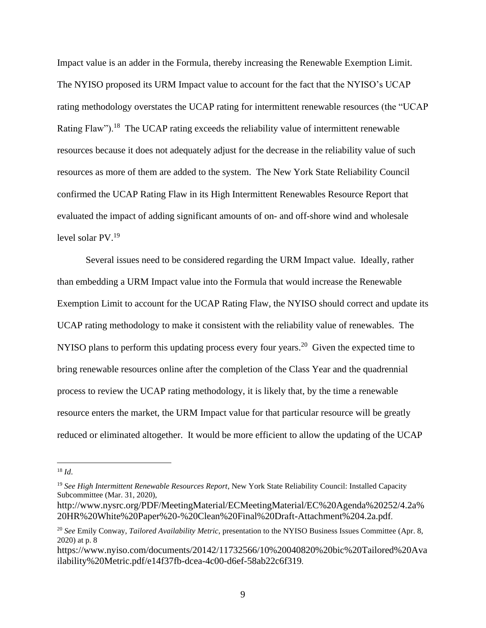Impact value is an adder in the Formula, thereby increasing the Renewable Exemption Limit. The NYISO proposed its URM Impact value to account for the fact that the NYISO's UCAP rating methodology overstates the UCAP rating for intermittent renewable resources (the "UCAP Rating Flaw").<sup>18</sup> The UCAP rating exceeds the reliability value of intermittent renewable resources because it does not adequately adjust for the decrease in the reliability value of such resources as more of them are added to the system. The New York State Reliability Council confirmed the UCAP Rating Flaw in its High Intermittent Renewables Resource Report that evaluated the impact of adding significant amounts of on- and off-shore wind and wholesale level solar PV.<sup>19</sup>

Several issues need to be considered regarding the URM Impact value. Ideally, rather than embedding a URM Impact value into the Formula that would increase the Renewable Exemption Limit to account for the UCAP Rating Flaw, the NYISO should correct and update its UCAP rating methodology to make it consistent with the reliability value of renewables. The NYISO plans to perform this updating process every four years.<sup>20</sup> Given the expected time to bring renewable resources online after the completion of the Class Year and the quadrennial process to review the UCAP rating methodology, it is likely that, by the time a renewable resource enters the market, the URM Impact value for that particular resource will be greatly reduced or eliminated altogether. It would be more efficient to allow the updating of the UCAP

<sup>18</sup> *Id*.

<sup>19</sup> *See High Intermittent Renewable Resources Report*, New York State Reliability Council: Installed Capacity Subcommittee (Mar. 31, 2020),

http://www.nysrc.org/PDF/MeetingMaterial/ECMeetingMaterial/EC%20Agenda%20252/4.2a% 20HR%20White%20Paper%20-%20Clean%20Final%20Draft-Attachment%204.2a.pdf.

<sup>20</sup> *See* Emily Conway, *Tailored Availability Metric*, presentation to the NYISO Business Issues Committee (Apr. 8, 2020) at p. 8

https://www.nyiso.com/documents/20142/11732566/10%20040820%20bic%20Tailored%20Ava ilability%20Metric.pdf/e14f37fb-dcea-4c00-d6ef-58ab22c6f319.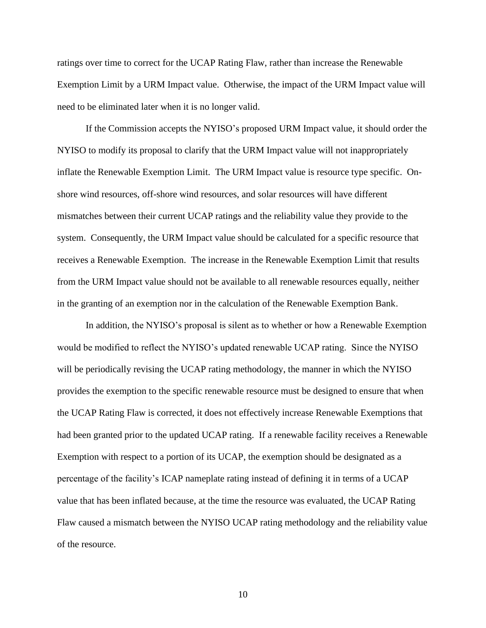ratings over time to correct for the UCAP Rating Flaw, rather than increase the Renewable Exemption Limit by a URM Impact value. Otherwise, the impact of the URM Impact value will need to be eliminated later when it is no longer valid.

If the Commission accepts the NYISO's proposed URM Impact value, it should order the NYISO to modify its proposal to clarify that the URM Impact value will not inappropriately inflate the Renewable Exemption Limit. The URM Impact value is resource type specific. Onshore wind resources, off-shore wind resources, and solar resources will have different mismatches between their current UCAP ratings and the reliability value they provide to the system. Consequently, the URM Impact value should be calculated for a specific resource that receives a Renewable Exemption. The increase in the Renewable Exemption Limit that results from the URM Impact value should not be available to all renewable resources equally, neither in the granting of an exemption nor in the calculation of the Renewable Exemption Bank.

In addition, the NYISO's proposal is silent as to whether or how a Renewable Exemption would be modified to reflect the NYISO's updated renewable UCAP rating. Since the NYISO will be periodically revising the UCAP rating methodology, the manner in which the NYISO provides the exemption to the specific renewable resource must be designed to ensure that when the UCAP Rating Flaw is corrected, it does not effectively increase Renewable Exemptions that had been granted prior to the updated UCAP rating. If a renewable facility receives a Renewable Exemption with respect to a portion of its UCAP, the exemption should be designated as a percentage of the facility's ICAP nameplate rating instead of defining it in terms of a UCAP value that has been inflated because, at the time the resource was evaluated, the UCAP Rating Flaw caused a mismatch between the NYISO UCAP rating methodology and the reliability value of the resource.

10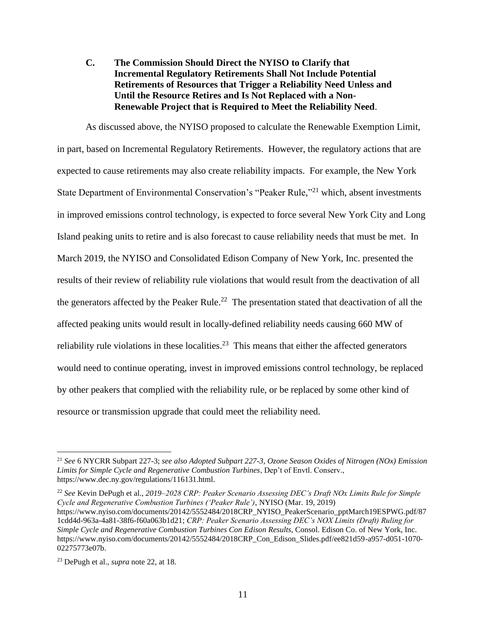**C. The Commission Should Direct the NYISO to Clarify that Incremental Regulatory Retirements Shall Not Include Potential Retirements of Resources that Trigger a Reliability Need Unless and Until the Resource Retires and Is Not Replaced with a Non-Renewable Project that is Required to Meet the Reliability Need**.

As discussed above, the NYISO proposed to calculate the Renewable Exemption Limit, in part, based on Incremental Regulatory Retirements. However, the regulatory actions that are expected to cause retirements may also create reliability impacts. For example, the New York State Department of Environmental Conservation's "Peaker Rule,"<sup>21</sup> which, absent investments in improved emissions control technology, is expected to force several New York City and Long Island peaking units to retire and is also forecast to cause reliability needs that must be met. In March 2019, the NYISO and Consolidated Edison Company of New York, Inc. presented the results of their review of reliability rule violations that would result from the deactivation of all the generators affected by the Peaker Rule.<sup>22</sup> The presentation stated that deactivation of all the affected peaking units would result in locally-defined reliability needs causing 660 MW of reliability rule violations in these localities.<sup>23</sup> This means that either the affected generators would need to continue operating, invest in improved emissions control technology, be replaced by other peakers that complied with the reliability rule, or be replaced by some other kind of resource or transmission upgrade that could meet the reliability need.

<sup>22</sup> *See* Kevin DePugh et al., *2019–2028 CRP: Peaker Scenario Assessing DEC's Draft NOx Limits Rule for Simple Cycle and Regenerative Combustion Turbines ('Peaker Rule')*, NYISO (Mar. 19, 2019) https://www.nyiso.com/documents/20142/5552484/2018CRP\_NYISO\_PeakerScenario\_pptMarch19ESPWG.pdf/87 1cdd4d-963a-4a81-38f6-f60a063b1d21; *CRP: Peaker Scenario Assessing DEC's NOX Limits (Draft) Ruling for Simple Cycle and Regenerative Combustion Turbines Con Edison Results*, Consol. Edison Co. of New York, Inc. https://www.nyiso.com/documents/20142/5552484/2018CRP\_Con\_Edison\_Slides.pdf/ee821d59-a957-d051-1070- 02275773e07b.

<sup>21</sup> *See* 6 NYCRR Subpart 227-3; *see also Adopted Subpart 227-3, Ozone Season Oxides of Nitrogen (NOx) Emission Limits for Simple Cycle and Regenerative Combustion Turbines*, Dep't of Envtl. Conserv., https://www.dec.ny.gov/regulations/116131.html.

<sup>23</sup> DePugh et al., *supra* note 22, at 18.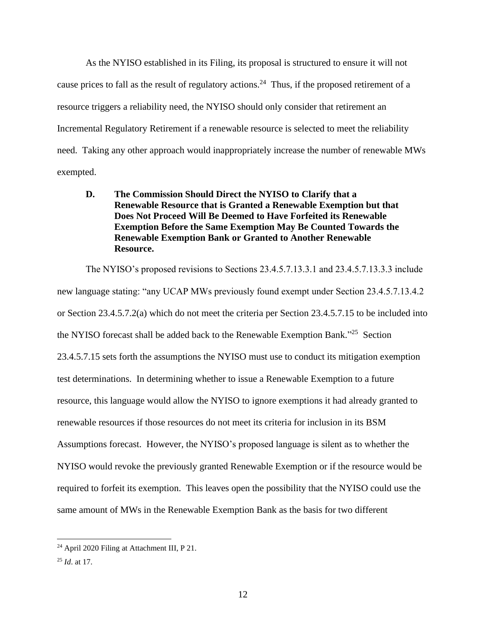As the NYISO established in its Filing, its proposal is structured to ensure it will not cause prices to fall as the result of regulatory actions.<sup>24</sup> Thus, if the proposed retirement of a resource triggers a reliability need, the NYISO should only consider that retirement an Incremental Regulatory Retirement if a renewable resource is selected to meet the reliability need. Taking any other approach would inappropriately increase the number of renewable MWs exempted.

# **D. The Commission Should Direct the NYISO to Clarify that a Renewable Resource that is Granted a Renewable Exemption but that Does Not Proceed Will Be Deemed to Have Forfeited its Renewable Exemption Before the Same Exemption May Be Counted Towards the Renewable Exemption Bank or Granted to Another Renewable Resource.**

The NYISO's proposed revisions to Sections 23.4.5.7.13.3.1 and 23.4.5.7.13.3.3 include new language stating: "any UCAP MWs previously found exempt under Section 23.4.5.7.13.4.2 or Section 23.4.5.7.2(a) which do not meet the criteria per Section 23.4.5.7.15 to be included into the NYISO forecast shall be added back to the Renewable Exemption Bank."<sup>25</sup> Section 23.4.5.7.15 sets forth the assumptions the NYISO must use to conduct its mitigation exemption test determinations. In determining whether to issue a Renewable Exemption to a future resource, this language would allow the NYISO to ignore exemptions it had already granted to renewable resources if those resources do not meet its criteria for inclusion in its BSM Assumptions forecast. However, the NYISO's proposed language is silent as to whether the NYISO would revoke the previously granted Renewable Exemption or if the resource would be required to forfeit its exemption. This leaves open the possibility that the NYISO could use the same amount of MWs in the Renewable Exemption Bank as the basis for two different

<sup>24</sup> April 2020 Filing at Attachment III, P 21.

<sup>25</sup> *Id*. at 17.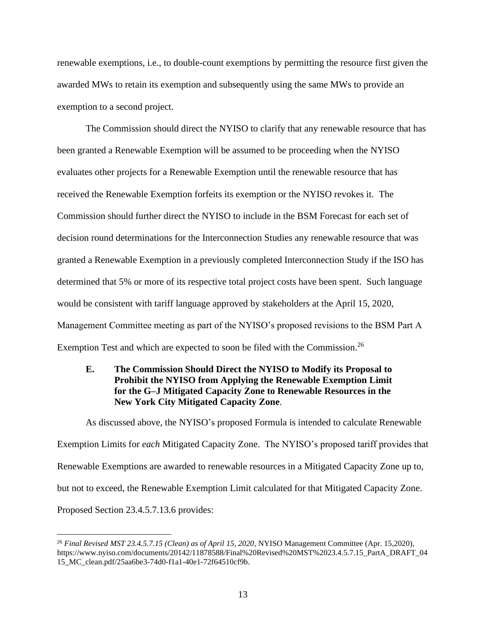renewable exemptions, i.e., to double-count exemptions by permitting the resource first given the awarded MWs to retain its exemption and subsequently using the same MWs to provide an exemption to a second project.

The Commission should direct the NYISO to clarify that any renewable resource that has been granted a Renewable Exemption will be assumed to be proceeding when the NYISO evaluates other projects for a Renewable Exemption until the renewable resource that has received the Renewable Exemption forfeits its exemption or the NYISO revokes it. The Commission should further direct the NYISO to include in the BSM Forecast for each set of decision round determinations for the Interconnection Studies any renewable resource that was granted a Renewable Exemption in a previously completed Interconnection Study if the ISO has determined that 5% or more of its respective total project costs have been spent. Such language would be consistent with tariff language approved by stakeholders at the April 15, 2020, Management Committee meeting as part of the NYISO's proposed revisions to the BSM Part A Exemption Test and which are expected to soon be filed with the Commission.<sup>26</sup>

#### **E. The Commission Should Direct the NYISO to Modify its Proposal to Prohibit the NYISO from Applying the Renewable Exemption Limit for the G–J Mitigated Capacity Zone to Renewable Resources in the New York City Mitigated Capacity Zone**.

As discussed above, the NYISO's proposed Formula is intended to calculate Renewable Exemption Limits for *each* Mitigated Capacity Zone. The NYISO's proposed tariff provides that Renewable Exemptions are awarded to renewable resources in a Mitigated Capacity Zone up to, but not to exceed, the Renewable Exemption Limit calculated for that Mitigated Capacity Zone. Proposed Section 23.4.5.7.13.6 provides:

<sup>26</sup> *Final Revised MST 23.4.5.7.15 (Clean) as of April 15, 2020*, NYISO Management Committee (Apr. 15,2020), https://www.nyiso.com/documents/20142/11878588/Final%20Revised%20MST%2023.4.5.7.15\_PartA\_DRAFT\_04 15\_MC\_clean.pdf/25aa6be3-74d0-f1a1-40e1-72f64510cf9b.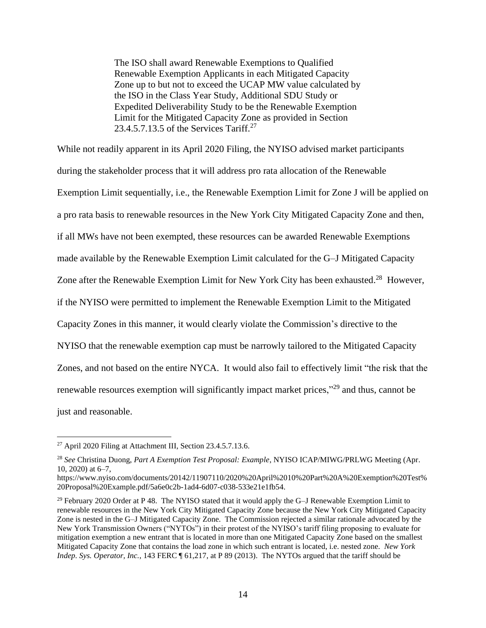The ISO shall award Renewable Exemptions to Qualified Renewable Exemption Applicants in each Mitigated Capacity Zone up to but not to exceed the UCAP MW value calculated by the ISO in the Class Year Study, Additional SDU Study or Expedited Deliverability Study to be the Renewable Exemption Limit for the Mitigated Capacity Zone as provided in Section 23.4.5.7.13.5 of the Services Tariff.<sup>27</sup>

While not readily apparent in its April 2020 Filing, the NYISO advised market participants during the stakeholder process that it will address pro rata allocation of the Renewable Exemption Limit sequentially, i.e., the Renewable Exemption Limit for Zone J will be applied on a pro rata basis to renewable resources in the New York City Mitigated Capacity Zone and then, if all MWs have not been exempted, these resources can be awarded Renewable Exemptions made available by the Renewable Exemption Limit calculated for the G–J Mitigated Capacity Zone after the Renewable Exemption Limit for New York City has been exhausted.<sup>28</sup> However, if the NYISO were permitted to implement the Renewable Exemption Limit to the Mitigated Capacity Zones in this manner, it would clearly violate the Commission's directive to the NYISO that the renewable exemption cap must be narrowly tailored to the Mitigated Capacity Zones, and not based on the entire NYCA. It would also fail to effectively limit "the risk that the renewable resources exemption will significantly impact market prices,"<sup>29</sup> and thus, cannot be just and reasonable.

<sup>27</sup> April 2020 Filing at Attachment III, Section 23.4.5.7.13.6.

<sup>28</sup> *See* Christina Duong, *Part A Exemption Test Proposal: Example*, NYISO ICAP/MIWG/PRLWG Meeting (Apr. 10, 2020) at 6–7,

https://www.nyiso.com/documents/20142/11907110/2020%20April%2010%20Part%20A%20Exemption%20Test% 20Proposal%20Example.pdf/5a6e0c2b-1ad4-6d07-c038-533e21e1fb54.

 $29$  February 2020 Order at P 48. The NYISO stated that it would apply the G-J Renewable Exemption Limit to renewable resources in the New York City Mitigated Capacity Zone because the New York City Mitigated Capacity Zone is nested in the G–J Mitigated Capacity Zone. The Commission rejected a similar rationale advocated by the New York Transmission Owners ("NYTOs") in their protest of the NYISO's tariff filing proposing to evaluate for mitigation exemption a new entrant that is located in more than one Mitigated Capacity Zone based on the smallest Mitigated Capacity Zone that contains the load zone in which such entrant is located, i.e. nested zone. *New York Indep. Sys. Operator, Inc.*, 143 FERC ¶ 61,217, at P 89 (2013). The NYTOs argued that the tariff should be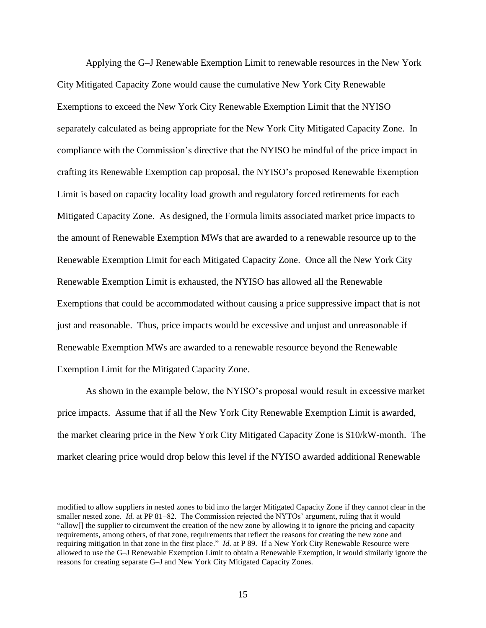Applying the G–J Renewable Exemption Limit to renewable resources in the New York City Mitigated Capacity Zone would cause the cumulative New York City Renewable Exemptions to exceed the New York City Renewable Exemption Limit that the NYISO separately calculated as being appropriate for the New York City Mitigated Capacity Zone. In compliance with the Commission's directive that the NYISO be mindful of the price impact in crafting its Renewable Exemption cap proposal, the NYISO's proposed Renewable Exemption Limit is based on capacity locality load growth and regulatory forced retirements for each Mitigated Capacity Zone. As designed, the Formula limits associated market price impacts to the amount of Renewable Exemption MWs that are awarded to a renewable resource up to the Renewable Exemption Limit for each Mitigated Capacity Zone. Once all the New York City Renewable Exemption Limit is exhausted, the NYISO has allowed all the Renewable Exemptions that could be accommodated without causing a price suppressive impact that is not just and reasonable. Thus, price impacts would be excessive and unjust and unreasonable if Renewable Exemption MWs are awarded to a renewable resource beyond the Renewable Exemption Limit for the Mitigated Capacity Zone.

As shown in the example below, the NYISO's proposal would result in excessive market price impacts. Assume that if all the New York City Renewable Exemption Limit is awarded, the market clearing price in the New York City Mitigated Capacity Zone is \$10/kW-month. The market clearing price would drop below this level if the NYISO awarded additional Renewable

modified to allow suppliers in nested zones to bid into the larger Mitigated Capacity Zone if they cannot clear in the smaller nested zone. *Id.* at PP 81–82. The Commission rejected the NYTOs' argument, ruling that it would "allow[] the supplier to circumvent the creation of the new zone by allowing it to ignore the pricing and capacity requirements, among others, of that zone, requirements that reflect the reasons for creating the new zone and requiring mitigation in that zone in the first place." *Id*. at P 89. If a New York City Renewable Resource were allowed to use the G–J Renewable Exemption Limit to obtain a Renewable Exemption, it would similarly ignore the reasons for creating separate G–J and New York City Mitigated Capacity Zones.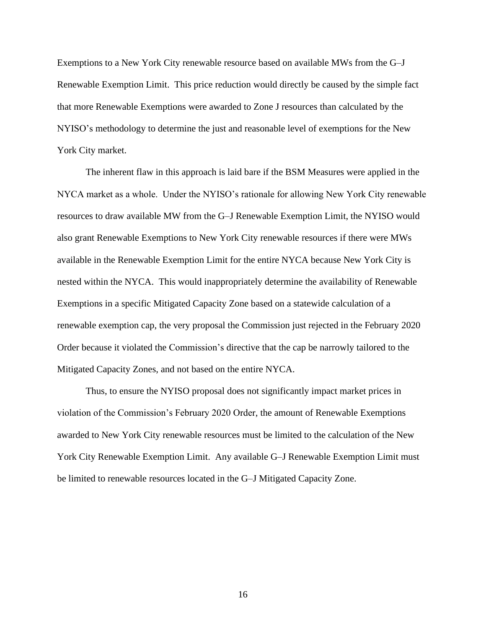Exemptions to a New York City renewable resource based on available MWs from the G–J Renewable Exemption Limit. This price reduction would directly be caused by the simple fact that more Renewable Exemptions were awarded to Zone J resources than calculated by the NYISO's methodology to determine the just and reasonable level of exemptions for the New York City market.

The inherent flaw in this approach is laid bare if the BSM Measures were applied in the NYCA market as a whole. Under the NYISO's rationale for allowing New York City renewable resources to draw available MW from the G–J Renewable Exemption Limit, the NYISO would also grant Renewable Exemptions to New York City renewable resources if there were MWs available in the Renewable Exemption Limit for the entire NYCA because New York City is nested within the NYCA. This would inappropriately determine the availability of Renewable Exemptions in a specific Mitigated Capacity Zone based on a statewide calculation of a renewable exemption cap, the very proposal the Commission just rejected in the February 2020 Order because it violated the Commission's directive that the cap be narrowly tailored to the Mitigated Capacity Zones, and not based on the entire NYCA.

Thus, to ensure the NYISO proposal does not significantly impact market prices in violation of the Commission's February 2020 Order, the amount of Renewable Exemptions awarded to New York City renewable resources must be limited to the calculation of the New York City Renewable Exemption Limit. Any available G–J Renewable Exemption Limit must be limited to renewable resources located in the G–J Mitigated Capacity Zone.

16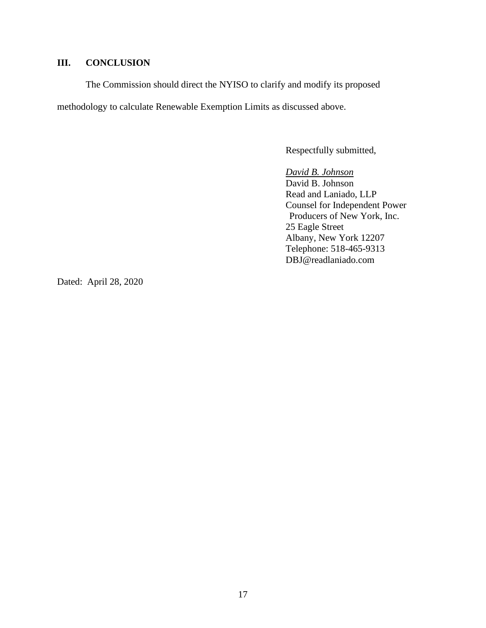# **III. CONCLUSION**

The Commission should direct the NYISO to clarify and modify its proposed methodology to calculate Renewable Exemption Limits as discussed above.

Respectfully submitted,

*David B. Johnson* David B. Johnson Read and Laniado, LLP Counsel for Independent Power Producers of New York, Inc. 25 Eagle Street Albany, New York 12207 Telephone: 518-465-9313 DBJ@readlaniado.com

Dated: April 28, 2020